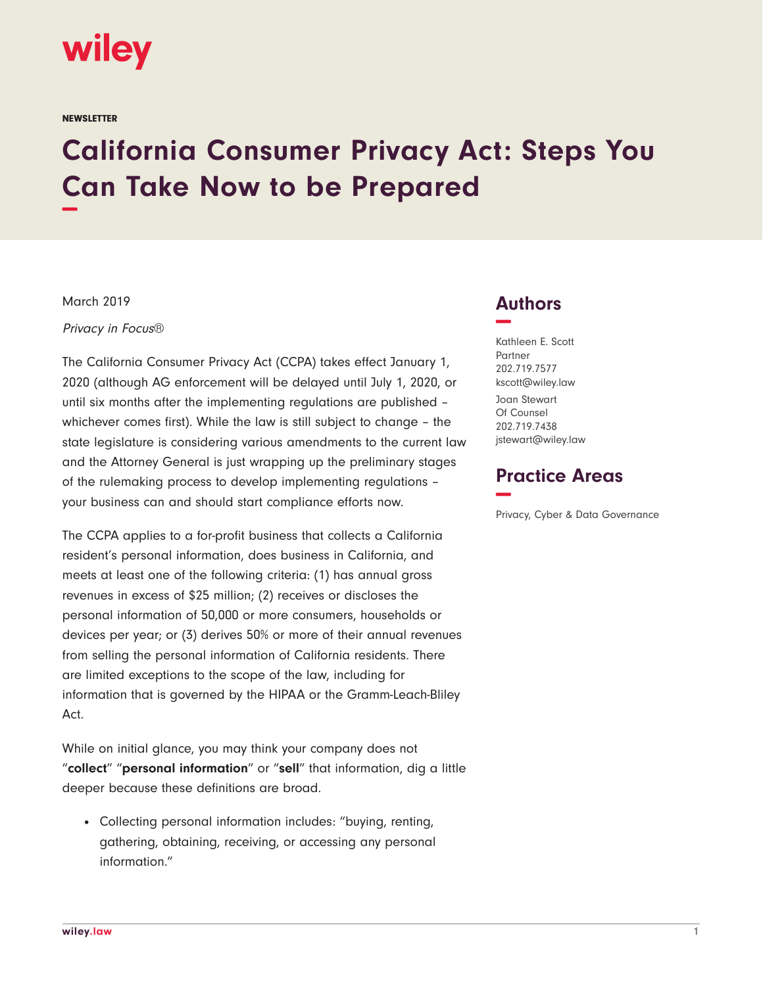

**NEWSLETTER** 

## **California Consumer Privacy Act: Steps You Can Take Now to be Prepared −**

March 2019

Privacy in Focus®

The California Consumer Privacy Act (CCPA) takes effect January 1, 2020 (although AG enforcement will be delayed until July 1, 2020, or until six months after the implementing regulations are published – whichever comes first). While the law is still subject to change – the state legislature is considering various amendments to the current law and the Attorney General is just wrapping up the preliminary stages of the rulemaking process to develop implementing regulations – your business can and should start compliance efforts now.

The CCPA applies to a for-profit business that collects a California resident's personal information, does business in California, and meets at least one of the following criteria: (1) has annual gross revenues in excess of \$25 million; (2) receives or discloses the personal information of 50,000 or more consumers, households or devices per year; or (3) derives 50% or more of their annual revenues from selling the personal information of California residents. There are limited exceptions to the scope of the law, including for information that is governed by the HIPAA or the Gramm-Leach-Bliley Act.

While on initial glance, you may think your company does not "**collect**" "**personal information**" or "**sell**" that information, dig a little deeper because these definitions are broad.

• Collecting personal information includes: "buying, renting, gathering, obtaining, receiving, or accessing any personal information."

## **Authors −**

Kathleen E. Scott Partner 202.719.7577 kscott@wiley.law

Joan Stewart Of Counsel 202.719.7438 jstewart@wiley.law

## **Practice Areas −**

Privacy, Cyber & Data Governance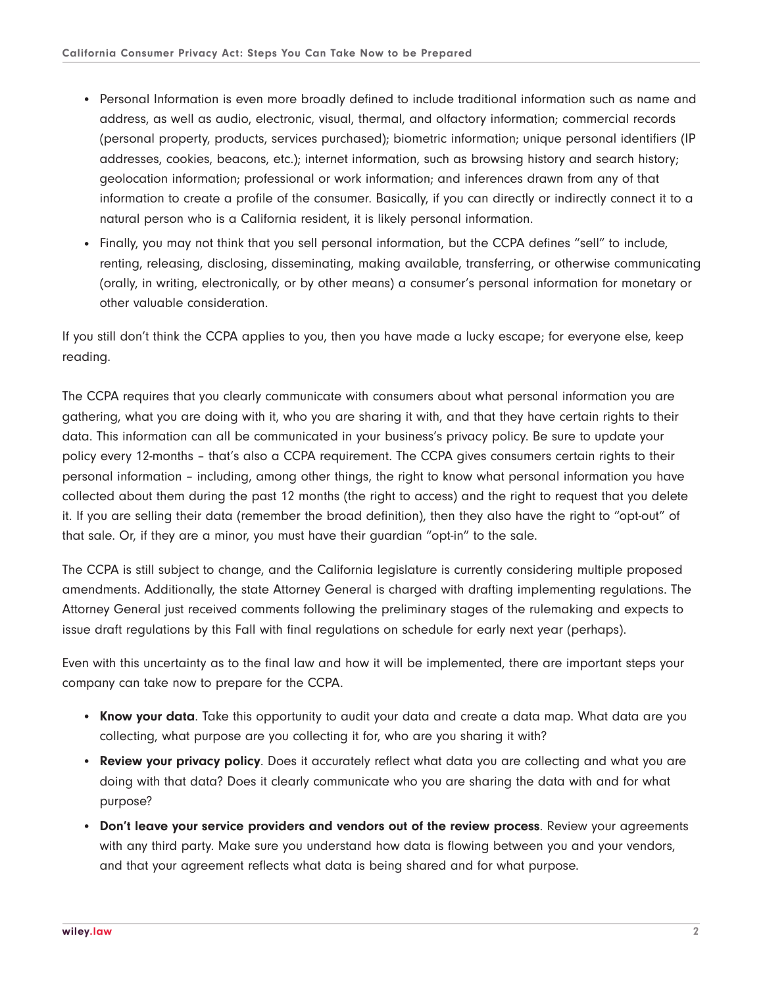- Personal Information is even more broadly defined to include traditional information such as name and address, as well as audio, electronic, visual, thermal, and olfactory information; commercial records (personal property, products, services purchased); biometric information; unique personal identifiers (IP addresses, cookies, beacons, etc.); internet information, such as browsing history and search history; geolocation information; professional or work information; and inferences drawn from any of that information to create a profile of the consumer. Basically, if you can directly or indirectly connect it to a natural person who is a California resident, it is likely personal information.
- Finally, you may not think that you sell personal information, but the CCPA defines "sell" to include, renting, releasing, disclosing, disseminating, making available, transferring, or otherwise communicating (orally, in writing, electronically, or by other means) a consumer's personal information for monetary or other valuable consideration.

If you still don't think the CCPA applies to you, then you have made a lucky escape; for everyone else, keep reading.

The CCPA requires that you clearly communicate with consumers about what personal information you are gathering, what you are doing with it, who you are sharing it with, and that they have certain rights to their data. This information can all be communicated in your business's privacy policy. Be sure to update your policy every 12-months – that's also a CCPA requirement. The CCPA gives consumers certain rights to their personal information – including, among other things, the right to know what personal information you have collected about them during the past 12 months (the right to access) and the right to request that you delete it. If you are selling their data (remember the broad definition), then they also have the right to "opt-out" of that sale. Or, if they are a minor, you must have their guardian "opt-in" to the sale.

The CCPA is still subject to change, and the California legislature is currently considering multiple proposed amendments. Additionally, the state Attorney General is charged with drafting implementing regulations. The Attorney General just received comments following the preliminary stages of the rulemaking and expects to issue draft regulations by this Fall with final regulations on schedule for early next year (perhaps).

Even with this uncertainty as to the final law and how it will be implemented, there are important steps your company can take now to prepare for the CCPA.

- **Know your data**. Take this opportunity to audit your data and create a data map. What data are you collecting, what purpose are you collecting it for, who are you sharing it with?
- **Review your privacy policy**. Does it accurately reflect what data you are collecting and what you are doing with that data? Does it clearly communicate who you are sharing the data with and for what purpose?
- **Don't leave your service providers and vendors out of the review process**. Review your agreements with any third party. Make sure you understand how data is flowing between you and your vendors, and that your agreement reflects what data is being shared and for what purpose.